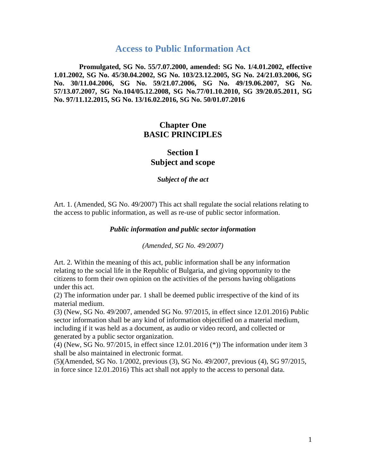# **Access to Public Information Act**

**Promulgated, SG No. 55/7.07.2000, amended: SG No. 1/4.01.2002, effective 1.01.2002, SG No. 45/30.04.2002, SG No. 103/23.12.2005, SG No. 24/21.03.2006, SG No. 30/11.04.2006, SG No. 59/21.07.2006, SG No. 49/19.06.2007, SG No. 57/13.07.2007, SG No.104/05.12.2008, SG No.77/01.10.2010, SG 39/20.05.2011, SG No. 97/11.12.2015, SG No. 13/16.02.2016, SG No. 50/01.07.2016** 

# **Chapter One BASIC PRINCIPLES**

# **Section I Subject and scope**

*Subject of the act*

Art. 1. (Amended, SG No. 49/2007) This act shall regulate the social relations relating to the access to public information, as well as re-use of public sector information.

#### *Public information and public sector information*

*(Amended, SG No. 49/2007)*

Art. 2. Within the meaning of this act, public information shall be any information relating to the social life in the Republic of Bulgaria, and giving opportunity to the citizens to form their own opinion on the activities of the persons having obligations under this act.

(2) The information under par. 1 shall be deemed public irrespective of the kind of its material medium.

(3) (New, SG No. 49/2007, amended SG No. 97/2015, in effect since 12.01.2016) Public sector information shall be any kind of information objectified on a material medium, including if it was held as a document, as audio or video record, and collected or generated by a public sector organization.

(4) (New, SG No. 97/2015, in effect since 12.01.2016 (\*)) The information under item 3 shall be also maintained in electronic format.

(5)(Amended, SG No. 1/2002, previous (3), SG No. 49/2007, previous (4), SG 97/2015, in force since 12.01.2016) This act shall not apply to the access to personal data.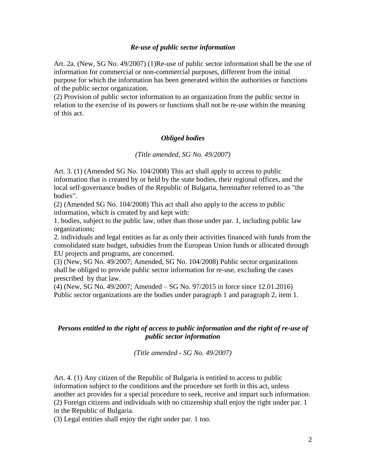### *Re-use of public sector information*

Art. 2a. (New, SG No. 49/2007) (1)Re-use of public sector information shall be the use of information for commercial or non-commercial purposes, different from the initial purpose for which the information has been generated within the authorities or functions of the public sector organization.

(2) Provision of public sector information to an organization from the public sector in relation to the exercise of its powers or functions shall not be re-use within the meaning of this act.

## *Obliged bodies*

### *(Title amended, SG No. 49/2007)*

Art. 3. (1) (Amended SG No. 104/2008) This act shall apply to access to public information that is created by or held by the state bodies, their regional offices, and the local self-governance bodies of the Republic of Bulgaria, hereinafter referred to as "the bodies".

(2) (Amended SG No. 104/2008) This act shall also apply to the access to public information, which is created by and kept with:

1. bodies, subject to the public law, other than those under par. 1, including public law organizations;

2. individuals and legal entities as far as only their activities financed with funds from the consolidated state budget, subsidies from the European Union funds or allocated through EU projects and programs, are concerned.

(3) (New, SG No. 49/2007; Amended, SG No. 104/2008) Public sector organizations shall be obliged to provide public sector information for re-use, excluding the cases prescribed by that law.

(4) (New, SG No. 49/2007; Amended – SG No. 97/2015 in force since 12.01.2016) Public sector organizations are the bodies under paragraph 1 and paragraph 2, item 1.

## *Persons entitled to the right of access to public information and the right of re-use of public sector information*

*(Title amended - SG No. 49/2007)*

Art. 4. (1) Any citizen of the Republic of Bulgaria is entitled to access to public information subject to the conditions and the procedure set forth in this act, unless another act provides for a special procedure to seek, receive and impart such information. (2) Foreign citizens and individuals with no citizenship shall enjoy the right under par. 1 in the Republic of Bulgaria.

(3) Legal entities shall enjoy the right under par. 1 too.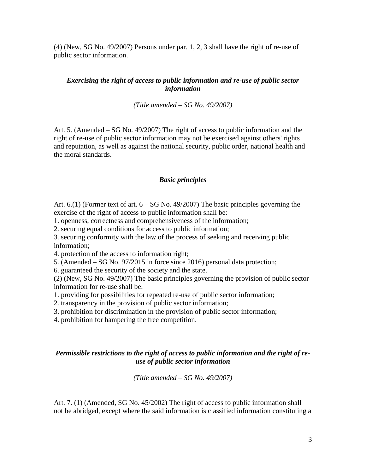(4) (New, SG No. 49/2007) Persons under par. 1, 2, 3 shall have the right of re-use of public sector information.

## *Exercising the right of access to public information and re-use of public sector information*

*(Title amended – SG No. 49/2007)*

Art. 5. (Amended – SG No. 49/2007) The right of access to public information and the right of re-use of public sector information may not be exercised against others' rights and reputation, as well as against the national security, public order, national health and the moral standards.

#### *Basic principles*

Art.  $6.1$ ) (Former text of art.  $6 - SG$  No. 49/2007) The basic principles governing the exercise of the right of access to public information shall be:

1. openness, correctness and comprehensiveness of the information;

2. securing equal conditions for access to public information;

3. securing conformity with the law of the process of seeking and receiving public information;

4. protection of the access to information right;

5. (Amended – SG No. 97/2015 in force since 2016) personal data protection;

6. guaranteed the security of the society and the state.

(2) (New, SG No. 49/2007) The basic principles governing the provision of public sector information for re-use shall be:

1. providing for possibilities for repeated re-use of public sector information;

2. transparency in the provision of public sector information;

3. prohibition for discrimination in the provision of public sector information;

4. prohibition for hampering the free competition.

## *Permissible restrictions to the right of access to public information and the right of reuse of public sector information*

*(Title amended – SG No. 49/2007)*

Art. 7. (1) (Amended, SG No. 45/2002) The right of access to public information shall not be abridged, except where the said information is classified information constituting a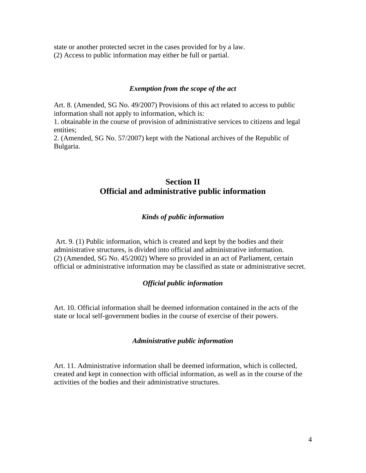state or another protected secret in the cases provided for by a law. (2) Access to public information may either be full or partial.

### *Exemption from the scope of the act*

Art. 8. (Amended, SG No. 49/2007) Provisions of this act related to access to public information shall not apply to information, which is:

1. obtainable in the course of provision of administrative services to citizens and legal entities;

2. (Amended, SG No. 57/2007) kept with the National archives of the Republic of Bulgaria.

# **Section II Official and administrative public information**

## *Kinds of public information*

Art. 9. (1) Public information, which is created and kept by the bodies and their administrative structures, is divided into official and administrative information. (2) (Amended, SG No. 45/2002) Where so provided in an act of Parliament, certain official or administrative information may be classified as state or administrative secret.

## *Official public information*

Art. 10. Official information shall be deemed information contained in the acts of the state or local self-government bodies in the course of exercise of their powers.

#### *Administrative public information*

Art. 11. Administrative information shall be deemed information, which is collected, created and kept in connection with official information, as well as in the course of the activities of the bodies and their administrative structures.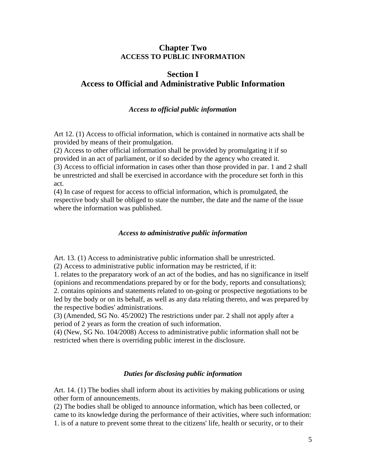## **Chapter Two ACCESS TO PUBLIC INFORMATION**

# **Section I Access to Official and Administrative Public Information**

## *Access to official public information*

Art 12. (1) Access to official information, which is contained in normative acts shall be provided by means of their promulgation.

(2) Access to other official information shall be provided by promulgating it if so provided in an act of parliament, or if so decided by the agency who created it. (3) Access to official information in cases other than those provided in par. 1 and 2 shall be unrestricted and shall be exercised in accordance with the procedure set forth in this act.

(4) In case of request for access to official information, which is promulgated, the respective body shall be obliged to state the number, the date and the name of the issue where the information was published.

## *Access to administrative public information*

Art. 13. (1) Access to administrative public information shall be unrestricted.

(2) Access to administrative public information may be restricted, if it:

1. relates to the preparatory work of an act of the bodies, and has no significance in itself (opinions and recommendations prepared by or for the body, reports and consultations); 2. contains opinions and statements related to on-going or prospective negotiations to be led by the body or on its behalf, as well as any data relating thereto, and was prepared by the respective bodies' administrations.

(3) (Amended, SG No. 45/2002) The restrictions under par. 2 shall not apply after a period of 2 years as form the creation of such information.

(4) (New, SG No. 104/2008) Access to administrative public information shall not be restricted when there is overriding public interest in the disclosure.

## *Duties for disclosing public information*

Art. 14. (1) The bodies shall inform about its activities by making publications or using other form of announcements.

(2) The bodies shall be obliged to announce information, which has been collected, or came to its knowledge during the performance of their activities, where such information: 1. is of a nature to prevent some threat to the citizens' life, health or security, or to their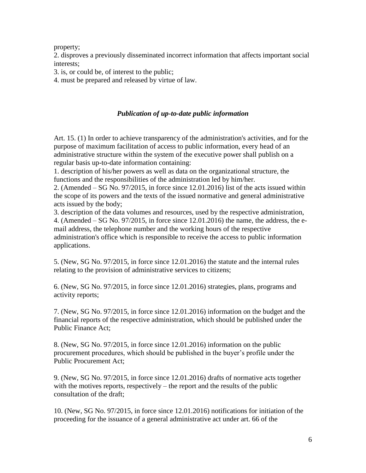property;

2. disproves a previously disseminated incorrect information that affects important social interests;

3. is, or could be, of interest to the public;

4. must be prepared and released by virtue of law.

## *Publication of up-to-date public information*

Art. 15. (1) In order to achieve transparency of the administration's activities, and for the purpose of maximum facilitation of access to public information, every head of an administrative structure within the system of the executive power shall publish on a regular basis up-to-date information containing:

1. description of his/her powers as well as data on the organizational structure, the functions and the responsibilities of the administration led by him/her.

2. (Amended – SG No. 97/2015, in force since 12.01.2016) list of the acts issued within the scope of its powers and the texts of the issued normative and general administrative acts issued by the body;

3. description of the data volumes and resources, used by the respective administration, 4. (Amended  $-$  SG No. 97/2015, in force since 12.01.2016) the name, the address, the email address, the telephone number and the working hours of the respective administration's office which is responsible to receive the access to public information applications.

5. (New, SG No. 97/2015, in force since 12.01.2016) the statute and the internal rules relating to the provision of administrative services to citizens;

6. (New, SG No. 97/2015, in force since 12.01.2016) strategies, plans, programs and activity reports;

7. (New, SG No. 97/2015, in force since 12.01.2016) information on the budget and the financial reports of the respective administration, which should be published under the Public Finance Act;

8. (New, SG No. 97/2015, in force since 12.01.2016) information on the public procurement procedures, which should be published in the buyer's profile under the Public Procurement Act;

9. (New, SG No. 97/2015, in force since 12.01.2016) drafts of normative acts together with the motives reports, respectively – the report and the results of the public consultation of the draft;

10. (New, SG No. 97/2015, in force since 12.01.2016) notifications for initiation of the proceeding for the issuance of a general administrative act under art. 66 of the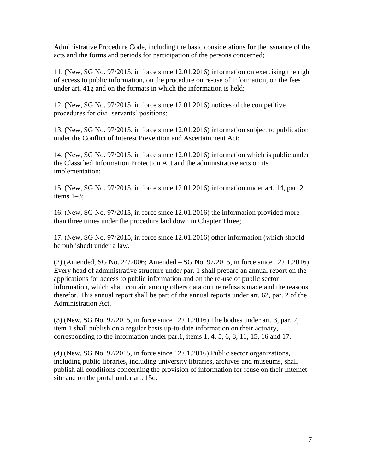Administrative Procedure Code, including the basic considerations for the issuance of the acts and the forms and periods for participation of the persons concerned;

11. (New, SG No. 97/2015, in force since 12.01.2016) information on exercising the right of access to public information, on the procedure on re-use of information, on the fees under art. 41g and on the formats in which the information is held;

12. (New, SG No. 97/2015, in force since 12.01.2016) notices of the competitive procedures for civil servants' positions;

13. (New, SG No. 97/2015, in force since 12.01.2016) information subject to publication under the Conflict of Interest Prevention and Ascertainment Act;

14. (New, SG No. 97/2015, in force since 12.01.2016) information which is public under the Classified Information Protection Act and the administrative acts on its implementation;

15. (New, SG No. 97/2015, in force since 12.01.2016) information under art. 14, par. 2, items 1–3;

16. (New, SG No. 97/2015, in force since 12.01.2016) the information provided more than three times under the procedure laid down in Chapter Three;

17. (New, SG No. 97/2015, in force since 12.01.2016) other information (which should be published) under a law.

(2) (Amended, SG No. 24/2006; Amended – SG No. 97/2015, in force since 12.01.2016) Every head of administrative structure under par. 1 shall prepare an annual report on the applications for access to public information and on the re-use of public sector information, which shall contain among others data on the refusals made and the reasons therefor. This annual report shall be part of the annual reports under art. 62, par. 2 of the Administration Act.

(3) (New, SG No. 97/2015, in force since 12.01.2016) The bodies under art. 3, par. 2, item 1 shall publish on a regular basis up-to-date information on their activity, corresponding to the information under par.1, items 1, 4, 5, 6, 8, 11, 15, 16 and 17.

(4) (New, SG No. 97/2015, in force since 12.01.2016) Public sector organizations, including public libraries, including university libraries, archives and museums, shall publish all conditions concerning the provision of information for reuse on their Internet site and on the portal under art. 15d.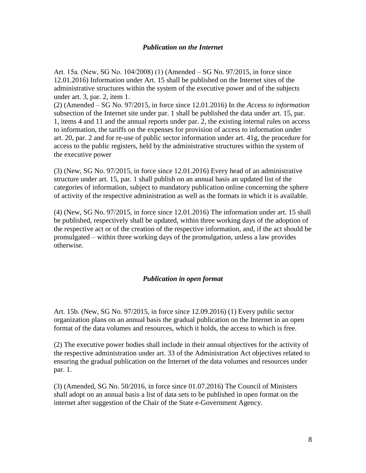### *Publication on the Internet*

Art. 15а. (New, SG No. 104/2008) (1) (Amended – SG No. 97/2015, in force since 12.01.2016) Information under Art. 15 shall be published on the Internet sites of the administrative structures within the system of the executive power and of the subjects under art. 3, par. 2, item 1.

(2) (Amended – SG No. 97/2015, in force since 12.01.2016) In the *A*ccess *to information*  subsection of the Internet site under par. 1 shall be published the data under art. 15, par. 1, items 4 and 11 and the annual reports under par. 2, the existing internal rules on access to information, the tariffs on the expenses for provision of access to information under art. 20, par. 2 and for re-use of public sector information under art. 41g, the procedure for access to the public registers, held by the administrative structures within the system of the executive power

(3) (New, SG No. 97/2015, in force since 12.01.2016) Every head of an administrative structure under art. 15, par. 1 shall publish on an annual basis an updated list of the categories of information, subject to mandatory publication online concerning the sphere of activity of the respective administration as well as the formats in which it is available.

(4) (New, SG No. 97/2015, in force since 12.01.2016) The information under art. 15 shall be published, respectively shall be updated, within three working days of the adoption of the respective act or of the creation of the respective information, and, if the act should be promulgated – within three working days of the promulgation, unless a law provides otherwise.

## *Publication in open format*

Art. 15b. (New, SG No. 97/2015, in force since 12.09.2016) (1) Every public sector organization plans on an annual basis the gradual publication on the Internet in an open format of the data volumes and resources, which it holds, the access to which is free.

(2) The executive power bodies shall include in their annual objectives for the activity of the respective administration under art. 33 of the Administration Act objectives related to ensuring the gradual publication on the Internet of the data volumes and resources under par. 1.

(3) (Amended, SG No. 50/2016, in force since 01.07.2016) The Council of Ministers shall adopt on an annual basis a list of data sets to be published in open format on the internet after suggestion of the Chair of the State e-Government Agency.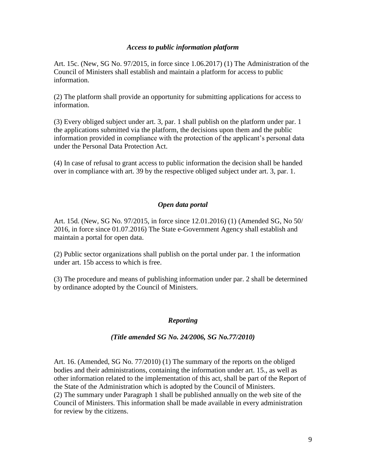## *Access to public information platform*

Art. 15c. (New, SG No. 97/2015, in force since 1.06.2017) (1) The Administration of the Council of Ministers shall establish and maintain a platform for access to public information.

(2) The platform shall provide an opportunity for submitting applications for access to information.

(3) Every obliged subject under art. 3, par. 1 shall publish on the platform under par. 1 the applications submitted via the platform, the decisions upon them and the public information provided in compliance with the protection of the applicant's personal data under the Personal Data Protection Act.

(4) In case of refusal to grant access to public information the decision shall be handed over in compliance with art. 39 by the respective obliged subject under art. 3, par. 1.

### *Open data portal*

Art. 15d. (New, SG No. 97/2015, in force since 12.01.2016) (1) (Amended SG, No 50/ 2016, in force since 01.07.2016) The State e-Government Agency shall establish and maintain a portal for open data.

(2) Public sector organizations shall publish on the portal under par. 1 the information under art. 15b access to which is free.

(3) The procedure and means of publishing information under par. 2 shall be determined by ordinance adopted by the Council of Ministers.

#### *Reporting*

#### *(Title amended SG No. 24/2006, SG No.77/2010)*

Art. 16. (Amended, SG No. 77/2010) (1) The summary of the reports on the obliged bodies and their administrations, containing the information under art. 15., as well as other information related to the implementation of this act, shall be part of the Report of the State of the Administration which is adopted by the Council of Ministers. (2) The summary under Paragraph 1 shall be published annually on the web site of the Council of Ministers. This information shall be made available in every administration for review by the citizens.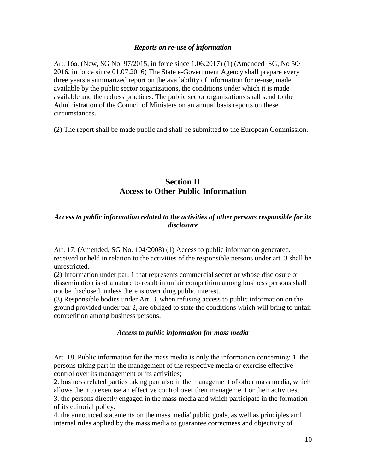### *Reports on re-use of information*

Art. 16а. (New, SG No. 97/2015, in force since 1.06.2017) (1) (Amended SG, No 50/ 2016, in force since 01.07.2016) The State e-Government Agency shall prepare every three years a summarized report on the availability of information for re-use, made available by the public sector organizations, the conditions under which it is made available and the redress practices. The public sector organizations shall send to the Administration of the Council of Ministers on an annual basis reports on these circumstances.

(2) The report shall be made public and shall be submitted to the European Commission.

# **Section II Access to Other Public Information**

## *Access to public information related to the activities of other persons responsible for its disclosure*

Art. 17. (Amended, SG No. 104/2008) (1) Access to public information generated, received or held in relation to the activities of the responsible persons under art. 3 shall be unrestricted.

(2) Information under par. 1 that represents commercial secret or whose disclosure or dissemination is of a nature to result in unfair competition among business persons shall not be disclosed, unless there is overriding public interest.

(3) Responsible bodies under Art. 3, when refusing access to public information on the ground provided under par 2, are obliged to state the conditions which will bring to unfair competition among business persons.

### *Access to public information for mass media*

Art. 18. Public information for the mass media is only the information concerning: 1. the persons taking part in the management of the respective media or exercise effective control over its management or its activities;

2. business related parties taking part also in the management of other mass media, which allows them to exercise an effective control over their management or their activities;

3. the persons directly engaged in the mass media and which participate in the formation of its editorial policy;

4. the announced statements on the mass media' public goals, as well as principles and internal rules applied by the mass media to guarantee correctness and objectivity of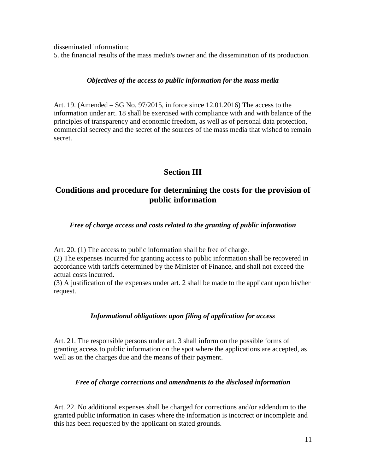disseminated information;

5. the financial results of the mass media's owner and the dissemination of its production.

## *Objectives of the access to public information for the mass media*

Art. 19. (Amended – SG No. 97/2015, in force since 12.01.2016) The access to the information under art. 18 shall be exercised with compliance with and with balance of the principles of transparency and economic freedom, as well as of personal data protection, commercial secrecy and the secret of the sources of the mass media that wished to remain secret.

# **Section III**

# **Conditions and procedure for determining the costs for the provision of public information**

*Free of charge access and costs related to the granting of public information*

Art. 20. (1) The access to public information shall be free of charge.

(2) The expenses incurred for granting access to public information shall be recovered in accordance with tariffs determined by the Minister of Finance, and shall not exceed the actual costs incurred.

(3) A justification of the expenses under art. 2 shall be made to the applicant upon his/her request.

## *Informational obligations upon filing of application for access*

Art. 21. The responsible persons under art. 3 shall inform on the possible forms of granting access to public information on the spot where the applications are accepted, as well as on the charges due and the means of their payment.

## *Free of charge corrections and amendments to the disclosed information*

Art. 22. No additional expenses shall be charged for corrections and/or addendum to the granted public information in cases where the information is incorrect or incomplete and this has been requested by the applicant on stated grounds.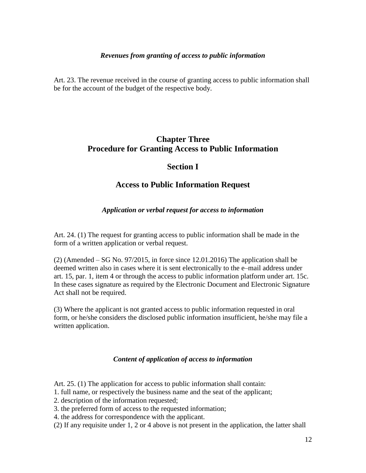## *Revenues from granting of access to public information*

Art. 23. The revenue received in the course of granting access to public information shall be for the account of the budget of the respective body.

# **Chapter Three Procedure for Granting Access to Public Information**

# **Section I**

## **Access to Public Information Request**

## *Application or verbal request for access to information*

Art. 24. (1) The request for granting access to public information shall be made in the form of a written application or verbal request.

 $(2)$  (Amended – SG No. 97/2015, in force since 12.01.2016) The application shall be deemed written also in cases where it is sent electronically to the e–mail address under art. 15, par. 1, item 4 or through the access to public information platform under art. 15c. In these cases signature as required by the Electronic Document and Electronic Signature Act shall not be required.

(3) Where the applicant is not granted access to public information requested in oral form, or he/she considers the disclosed public information insufficient, he/she may file a written application.

## *Content of application of access to information*

Art. 25. (1) The application for access to public information shall contain:

- 1. full name, or respectively the business name and the seat of the applicant;
- 2. description of the information requested;
- 3. the preferred form of access to the requested information;
- 4. the address for correspondence with the applicant.
- (2) If any requisite under 1, 2 or 4 above is not present in the application, the latter shall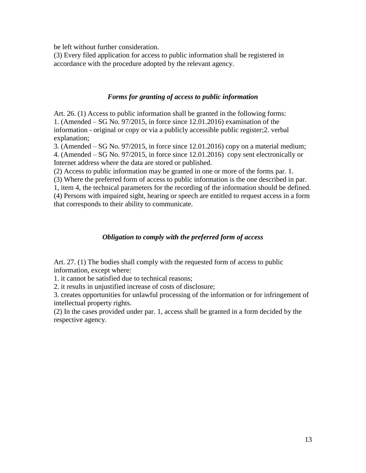be left without further consideration.

(3) Every filed application for access to public information shall be registered in accordance with the procedure adopted by the relevant agency.

## *Forms for granting of access to public information*

Art. 26. (1) Access to public information shall be granted in the following forms: 1. (Amended – SG No. 97/2015, in force since 12.01.2016) examination of the information - original or copy or via a publicly accessible public register;2. verbal explanation;

3. (Amended – SG No. 97/2015, in force since 12.01.2016) copy on a material medium; 4. (Amended – SG No. 97/2015, in force since 12.01.2016) copy sent electronically or Internet address where the data are stored or published.

(2) Access to public information may be granted in one or more of the forms par. 1.

(3) Where the preferred form of access to public information is the one described in par. 1, item 4, the technical parameters for the recording of the information should be defined. (4) Persons with impaired sight, hearing or speech are entitled to request access in a form that corresponds to their ability to communicate.

## *Obligation to comply with the preferred form of access*

Art. 27. (1) The bodies shall comply with the requested form of access to public information, except where:

1. it cannot be satisfied due to technical reasons;

2. it results in unjustified increase of costs of disclosure;

3. creates opportunities for unlawful processing of the information or for infringement of intellectual property rights.

(2) In the cases provided under par. 1, access shall be granted in a form decided by the respective agency.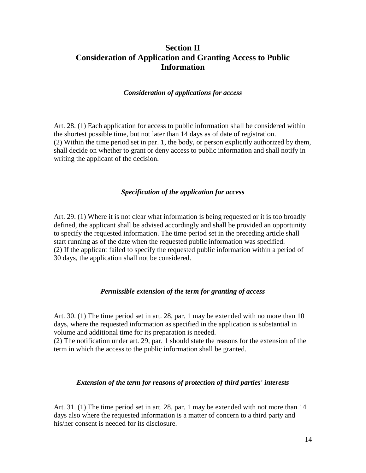# **Section II Consideration of Application and Granting Access to Public Information**

### *Consideration of applications for access*

Art. 28. (1) Each application for access to public information shall be considered within the shortest possible time, but not later than 14 days as of date of registration. (2) Within the time period set in par. 1, the body, or person explicitly authorized by them, shall decide on whether to grant or deny access to public information and shall notify in writing the applicant of the decision.

## *Specification of the application for access*

Art. 29. (1) Where it is not clear what information is being requested or it is too broadly defined, the applicant shall be advised accordingly and shall be provided an opportunity to specify the requested information. The time period set in the preceding article shall start running as of the date when the requested public information was specified. (2) If the applicant failed to specify the requested public information within a period of 30 days, the application shall not be considered.

#### *Permissible extension of the term for granting of access*

Art. 30. (1) The time period set in art. 28, par. 1 may be extended with no more than 10 days, where the requested information as specified in the application is substantial in volume and additional time for its preparation is needed.

(2) The notification under art. 29, par. 1 should state the reasons for the extension of the term in which the access to the public information shall be granted.

## *Extension of the term for reasons of protection of third parties' interests*

Art. 31. (1) The time period set in art. 28, par. 1 may be extended with not more than 14 days also where the requested information is a matter of concern to a third party and his/her consent is needed for its disclosure.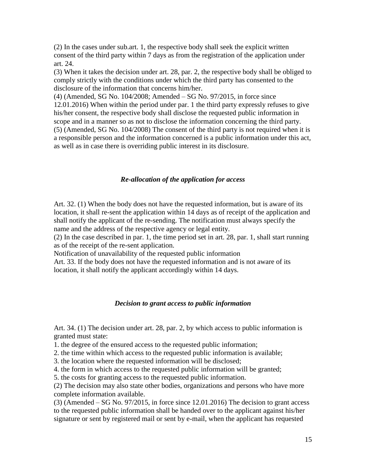(2) In the cases under sub.art. 1, the respective body shall seek the explicit written consent of the third party within 7 days as from the registration of the application under art. 24.

(3) When it takes the decision under art. 28, par. 2, the respective body shall be obliged to comply strictly with the conditions under which the third party has consented to the disclosure of the information that concerns him/her.

(4) (Amended, SG No. 104/2008; Amended – SG No. 97/2015, in force since 12.01.2016) When within the period under par. 1 the third party expressly refuses to give his/her consent, the respective body shall disclose the requested public information in scope and in a manner so as not to disclose the information concerning the third party. (5) (Amended, SG No. 104/2008) The consent of the third party is not required when it is a responsible person and the information concerned is a public information under this act, as well as in case there is overriding public interest in its disclosure.

#### *Re-allocation of the application for access*

Art. 32. (1) When the body does not have the requested information, but is aware of its location, it shall re-sent the application within 14 days as of receipt of the application and shall notify the applicant of the re-sending. The notification must always specify the name and the address of the respective agency or legal entity.

(2) In the case described in par. 1, the time period set in art. 28, par. 1, shall start running as of the receipt of the re-sent application.

Notification of unavailability of the requested public information

Art. 33. If the body does not have the requested information and is not aware of its location, it shall notify the applicant accordingly within 14 days.

### *Decision to grant access to public information*

Art. 34. (1) The decision under art. 28, par. 2, by which access to public information is granted must state:

1. the degree of the ensured access to the requested public information;

2. the time within which access to the requested public information is available;

3. the location where the requested information will be disclosed;

4. the form in which access to the requested public information will be granted;

5. the costs for granting access to the requested public information.

(2) The decision may also state other bodies, organizations and persons who have more complete information available.

(3) (Amended – SG No. 97/2015, in force since 12.01.2016) The decision to grant access to the requested public information shall be handed over to the applicant against his/her signature or sent by registered mail or sent by e-mail, when the applicant has requested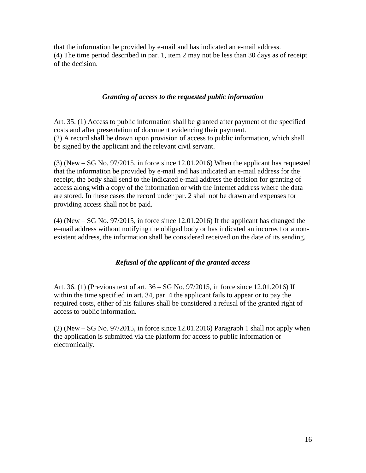that the information be provided by e-mail and has indicated an e-mail address. (4) The time period described in par. 1, item 2 may not be less than 30 days as of receipt of the decision.

## *Granting of access to the requested public information*

Art. 35. (1) Access to public information shall be granted after payment of the specified costs and after presentation of document evidencing their payment. (2) A record shall be drawn upon provision of access to public information, which shall be signed by the applicant and the relevant civil servant.

(3) (New – SG No. 97/2015, in force since 12.01.2016) When the applicant has requested that the information be provided by e-mail and has indicated an e-mail address for the receipt, the body shall send to the indicated e-mail address the decision for granting of access along with a copy of the information or with the Internet address where the data are stored. In these cases the record under par. 2 shall not be drawn and expenses for providing access shall not be paid.

(4) (New – SG No. 97/2015, in force since 12.01.2016) If the applicant has changed the e–mail address without notifying the obliged body or has indicated an incorrect or a nonexistent address, the information shall be considered received on the date of its sending.

## *Refusal of the applicant of the granted access*

Art. 36. (1) (Previous text of art. 36 – SG No. 97/2015, in force since 12.01.2016) If within the time specified in art. 34, par. 4 the applicant fails to appear or to pay the required costs, either of his failures shall be considered a refusal of the granted right of access to public information.

(2) (New – SG No. 97/2015, in force since 12.01.2016) Paragraph 1 shall not apply when the application is submitted via the platform for access to public information or electronically.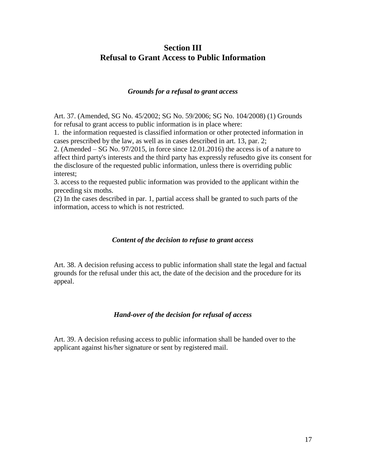# **Section III Refusal to Grant Access to Public Information**

## *Grounds for a refusal to grant access*

Art. 37. (Amended, SG No. 45/2002; SG No. 59/2006; SG No. 104/2008) (1) Grounds for refusal to grant access to public information is in place where:

1. the information requested is classified information or other protected information in cases prescribed by the law, as well as in cases described in art. 13, par. 2;

2. (Amended – SG No. 97/2015, in force since 12.01.2016) the access is of a nature to affect third party's interests and the third party has expressly refusedto give its consent for the disclosure of the requested public information, unless there is overriding public interest;

3. access to the requested public information was provided to the applicant within the preceding six moths.

(2) In the cases described in par. 1, partial access shall be granted to such parts of the information, access to which is not restricted.

## *Content of the decision to refuse to grant access*

Art. 38. A decision refusing access to public information shall state the legal and factual grounds for the refusal under this act, the date of the decision and the procedure for its appeal.

## *Hand-over of the decision for refusal of access*

Art. 39. A decision refusing access to public information shall be handed over to the applicant against his/her signature or sent by registered mail.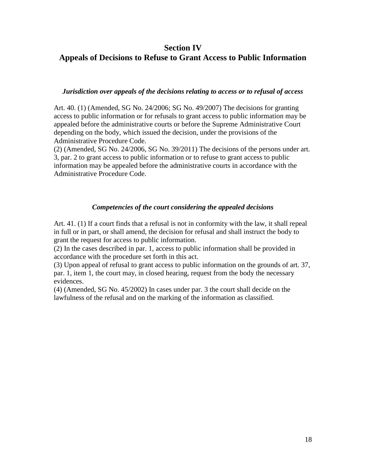## **Section IV**

# **Appeals of Decisions to Refuse to Grant Access to Public Information**

### *Jurisdiction over appeals of the decisions relating to access or to refusal of access*

Art. 40. (1) (Amended, SG No. 24/2006; SG No. 49/2007) The decisions for granting access to public information or for refusals to grant access to public information may be appealed before the administrative courts or before the Supreme Administrative Court depending on the body, which issued the decision, under the provisions of the Administrative Procedure Code.

(2) (Amended, SG No. 24/2006, SG No. 39/2011) The decisions of the persons under art. 3, par. 2 to grant access to public information or to refuse to grant access to public information may be appealed before the administrative courts in accordance with the Administrative Procedure Code.

## *Competencies of the court considering the appealed decisions*

Art. 41. (1) If a court finds that a refusal is not in conformity with the law, it shall repeal in full or in part, or shall amend, the decision for refusal and shall instruct the body to grant the request for access to public information.

(2) In the cases described in par. 1, access to public information shall be provided in accordance with the procedure set forth in this act.

(3) Upon appeal of refusal to grant access to public information on the grounds of art. 37, par. 1, item 1, the court may, in closed hearing, request from the body the necessary evidences.

(4) (Amended, SG No. 45/2002) In cases under par. 3 the court shall decide on the lawfulness of the refusal and on the marking of the information as classified.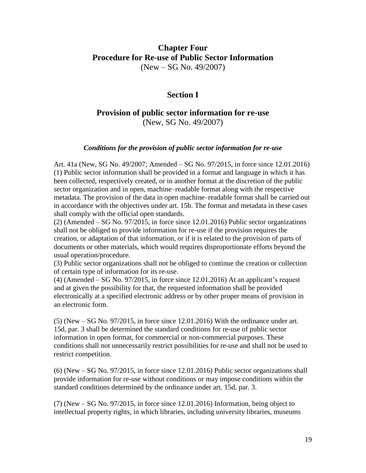# **Chapter Four Procedure for Re-use of Public Sector Information**  (New – SG No. 49/2007)

# **Section I**

# **Provision of public sector information for re-use**  (New, SG No. 49/2007)

## *Conditions for the provision of public sector information for re-use*

Art. 41a (New, SG No. 49/2007; Amended – SG No. 97/2015, in force since 12.01.2016) (1) Public sector information shall be provided in a format and language in which it has been collected, respectively created, or in another format at the discretion of the public sector organization and in open, machine–readable format along with the respective metadata. The provision of the data in open machine–readable format shall be carried out in accordance with the objectives under art. 15b. The format and metadata in these cases shall comply with the official open standards.

(2) (Amended – SG No. 97/2015, in force since 12.01.2016) Public sector organizations shall not be obliged to provide information for re-use if the provision requires the creation, or adaptation of that information, or if it is related to the provision of parts of documents or other materials, which would requires disproportionate efforts beyond the usual operation/procedure.

(3) Public sector organizations shall not be obliged to continue the creation or collection of certain type of information for its re-use.

 $(4)$  (Amended – SG No. 97/2015, in force since 12.01.2016) At an applicant's request and at given the possibility for that, the requested information shall be provided electronically at a specified electronic address or by other proper means of provision in an electronic form.

(5) (New – SG No. 97/2015, in force since 12.01.2016) With the ordinance under art. 15d, par. 3 shall be determined the standard conditions for re-use of public sector information in open format, for commercial or non-commercial purposes. These conditions shall not unnecessarily restrict possibilities for re-use and shall not be used to restrict competition.

(6) (New – SG No. 97/2015, in force since 12.01.2016) Public sector organizations shall provide information for re-use without conditions or may impose conditions within the standard conditions determined by the ordinance under art. 15d, par. 3.

(7) (New – SG No. 97/2015, in force since 12.01.2016) Information, being object to intellectual property rights, in which libraries, including university libraries, museums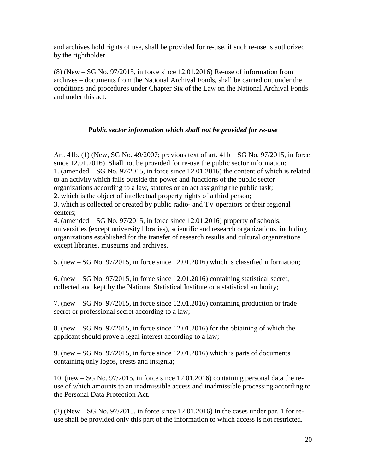and archives hold rights of use, shall be provided for re-use, if such re-use is authorized by the rightholder.

(8) (New – SG No. 97/2015, in force since 12.01.2016) Re-use of information from archives – documents from the National Archival Fonds, shall be carried out under the conditions and procedures under Chapter Six of the Law on the National Archival Fonds and under this act.

## *Public sector information which shall not be provided for re-use*

Art. 41b. (1) (New, SG No. 49/2007; previous text of art. 41b – SG No. 97/2015, in force since 12.01.2016) Shall not be provided for re-use the public sector information: 1. (amended – SG No. 97/2015, in force since 12.01.2016) the content of which is related to an activity which falls outside the power and functions of the public sector organizations according to a law, statutes or an act assigning the public task;

2. which is the object of intellectual property rights of a third person;

3. which is collected or created by public radio- and TV operators or their regional centers;

4. (amended – SG No. 97/2015, in force since 12.01.2016) property of schools, universities (except university libraries), scientific and research organizations, including organizations established for the transfer of research results and cultural organizations except libraries, museums and archives.

5. (new – SG No. 97/2015, in force since 12.01.2016) which is classified information;

6. (new – SG No. 97/2015, in force since 12.01.2016) containing statistical secret, collected and kept by the National Statistical Institute or a statistical authority;

7. (new – SG No. 97/2015, in force since 12.01.2016) containing production or trade secret or professional secret according to a law;

8. (new – SG No. 97/2015, in force since 12.01.2016) for the obtaining of which the applicant should prove a legal interest according to a law;

9. (new – SG No. 97/2015, in force since 12.01.2016) which is parts of documents containing only logos, crests and insignia;

10. (new – SG No. 97/2015, in force since 12.01.2016) containing personal data the reuse of which amounts to an inadmissible access and inadmissible processing according to the Personal Data Protection Act.

(2) (New – SG No. 97/2015, in force since 12.01.2016) In the cases under par. 1 for reuse shall be provided only this part of the information to which access is not restricted.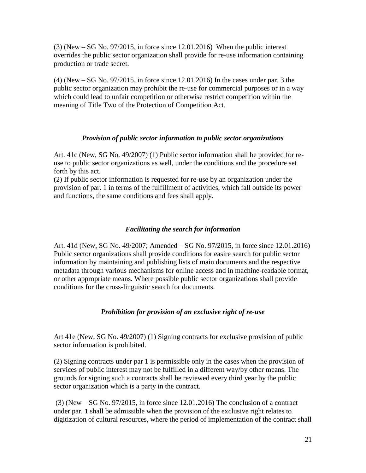$(3)$  (New – SG No. 97/2015, in force since 12.01.2016) When the public interest overrides the public sector organization shall provide for re-use information containing production or trade secret.

(4) (New – SG No. 97/2015, in force since 12.01.2016) In the cases under par. 3 the public sector organization may prohibit the re-use for commercial purposes or in a way which could lead to unfair competition or otherwise restrict competition within the meaning of Title Two of the Protection of Competition Act.

## *Provision of public sector information to public sector organizations*

Art. 41c (New, SG No. 49/2007) (1) Public sector information shall be provided for reuse to public sector organizations as well, under the conditions and the procedure set forth by this act.

(2) If public sector information is requested for re-use by an organization under the provision of par. 1 in terms of the fulfillment of activities, which fall outside its power and functions, the same conditions and fees shall apply.

## *Facilitating the search for information*

Art. 41d (New, SG No. 49/2007; Amended – SG No. 97/2015, in force since 12.01.2016) Public sector organizations shall provide conditions for easire search for public sector information by maintaining and publishing lists of main documents and the respective metadata through various mechanisms for online access and in machine-readable format, or other appropriate means. Where possible public sector organizations shall provide conditions for the cross-linguistic search for documents.

# *Prohibition for provision of an exclusive right of re-use*

Art 41e (New, SG No. 49/2007) (1) Signing contracts for exclusive provision of public sector information is prohibited.

(2) Signing contracts under par 1 is permissible only in the cases when the provision of services of public interest may not be fulfilled in a different way/by other means. The grounds for signing such a contracts shall be reviewed every third year by the public sector organization which is a party in the contract.

(3) (New – SG No. 97/2015, in force since 12.01.2016) The conclusion of a contract under par. 1 shall be admissible when the provision of the exclusive right relates to digitization of cultural resources, where the period of implementation of the contract shall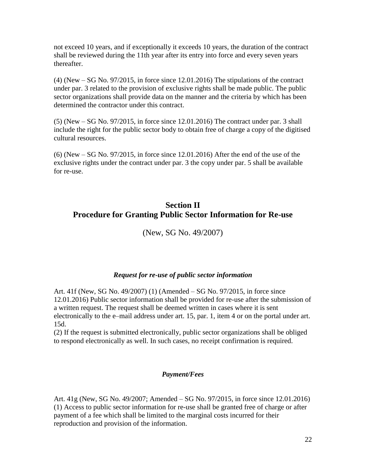not exceed 10 years, and if exceptionally it exceeds 10 years, the duration of the contract shall be reviewed during the 11th year after its entry into force and every seven years thereafter.

(4) (New – SG No. 97/2015, in force since 12.01.2016) The stipulations of the contract under par. 3 related to the provision of exclusive rights shall be made public. The public sector organizations shall provide data on the manner and the criteria by which has been determined the contractor under this contract.

(5) (New – SG No. 97/2015, in force since 12.01.2016) The contract under par. 3 shall include the right for the public sector body to obtain free of charge a copy of the digitised cultural resources.

(6) (New – SG No. 97/2015, in force since 12.01.2016) After the end of the use of the exclusive rights under the contract under par. 3 the copy under par. 5 shall be available for re-use.

# **Section II Procedure for Granting Public Sector Information for Re-use**

(New, SG No. 49/2007)

## *Request for re-use of public sector information*

Art. 41f (New, SG No. 49/2007) (1) (Amended – SG No. 97/2015, in force since 12.01.2016) Public sector information shall be provided for re-use after the submission of a written request. The request shall be deemed written in cases where it is sent electronically to the e–mail address under art. 15, par. 1, item 4 or on the portal under art. 15d.

(2) If the request is submitted electronically, public sector organizations shall be obliged to respond electronically as well. In such cases, no receipt confirmation is required.

# *Payment/Fees*

Art. 41g (New, SG No. 49/2007; Amended – SG No. 97/2015, in force since 12.01.2016) (1) Access to public sector information for re-use shall be granted free of charge or after payment of a fee which shall be limited to the marginal costs incurred for their reproduction and provision of the information.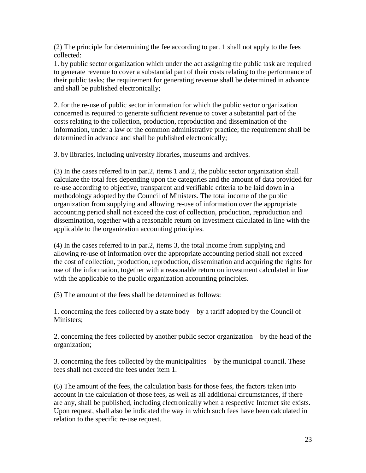(2) The principle for determining the fee according to par. 1 shall not apply to the fees collected:

1. by public sector organization which under the act assigning the public task are required to generate revenue to cover a substantial part of their costs relating to the performance of their public tasks; the requirement for generating revenue shall be determined in advance and shall be published electronically;

2. for the re-use of public sector information for which the public sector organization concerned is required to generate sufficient revenue to cover a substantial part of the costs relating to the collection, production, reproduction and dissemination of the information, under a law or the common administrative practice; the requirement shall be determined in advance and shall be published electronically;

3. by libraries, including university libraries, museums and archives.

(3) In the cases referred to in par.2, items 1 and 2, the public sector organization shall calculate the total fees depending upon the categories and the amount of data provided for re-use according to objective, transparent and verifiable criteria to be laid down in a methodology adopted by the Council of Ministers. The total income of the public organization from supplying and allowing re-use of information over the appropriate accounting period shall not exceed the cost of collection, production, reproduction and dissemination, together with a reasonable return on investment calculated in line with the applicable to the organization accounting principles.

(4) In the cases referred to in par.2, items 3, the total income from supplying and allowing re-use of information over the appropriate accounting period shall not exceed the cost of collection, production, reproduction, dissemination and acquiring the rights for use of the information, together with a reasonable return on investment calculated in line with the applicable to the public organization accounting principles.

(5) The amount of the fees shall be determined as follows:

1. concerning the fees collected by a state body – by a tariff adopted by the Council of Ministers:

2. concerning the fees collected by another public sector organization – by the head of the organization;

3. concerning the fees collected by the municipalities – by the municipal council. These fees shall not exceed the fees under item 1.

(6) The amount of the fees, the calculation basis for those fees, the factors taken into account in the calculation of those fees, as well as all additional circumstances, if there are any, shall be published, including electronically when a respective Internet site exists. Upon request, shall also be indicated the way in which such fees have been calculated in relation to the specific re-use request.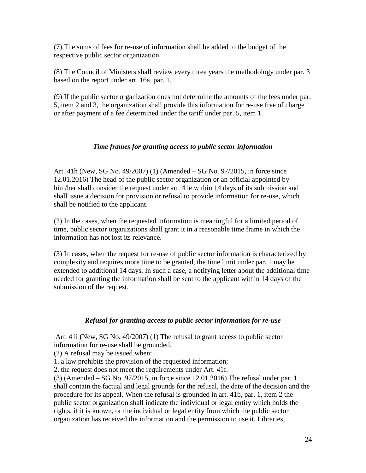(7) The sums of fees for re-use of information shall be added to the budget of the respective public sector organization.

(8) The Council of Ministers shall review every three years the methodology under par. 3 based on the report under art. 16a, par. 1.

(9) If the public sector organization does not determine the amounts of the fees under par. 5, item 2 and 3, the organization shall provide this information for re-use free of charge or after payment of a fee determined under the tariff under par. 5, item 1.

## *Time frames for granting access to public sector information*

Art. 41h (New, SG No. 49/2007) (1) (Amended – SG No. 97/2015, in force since 12.01.2016) The head of the public sector organization or an official appointed by him/her shall consider the request under art. 41e within 14 days of its submission and shall issue a decision for provision or refusal to provide information for re-use, which shall be notified to the applicant.

(2) In the cases, when the requested information is meaningful for a limited period of time, public sector organizations shall grant it in a reasonable time frame in which the information has not lost its relevance.

(3) In cases, when the request for re-use of public sector information is characterized by complexity and requires more time to be granted, the time limit under par. 1 may be extended to additional 14 days. In such a case, a notifying letter about the additional time needed for granting the information shall be sent to the applicant within 14 days of the submission of the request.

## *Refusal for granting access to public sector information for re-use*

Art. 41i (New, SG No. 49/2007) (1) The refusal to grant access to public sector information for re-use shall be grounded.

(2) A refusal may be issued when:

1. a law prohibits the provision of the requested information;

2. the request does not meet the requirements under Art. 41f.

(3) (Amended – SG No. 97/2015, in force since 12.01.2016) The refusal under par. 1 shall contain the factual and legal grounds for the refusal, the date of the decision and the procedure for its appeal. When the refusal is grounded in art. 41b, par. 1, item 2 the public sector organization shall indicate the individual or legal entity which holds the rights, if it is known, or the individual or legal entity from which the public sector organization has received the information and the permission to use it. Libraries,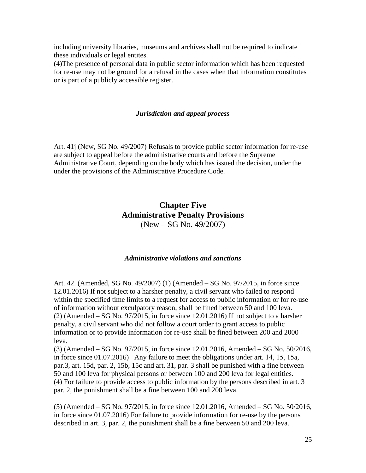including university libraries, museums and archives shall not be required to indicate these individuals or legal entites.

(4)The presence of personal data in public sector information which has been requested for re-use may not be ground for a refusal in the cases when that information constitutes or is part of a publicly accessible register.

#### *Jurisdiction and appeal process*

Art. 41j (New, SG No. 49/2007) Refusals to provide public sector information for re-use are subject to appeal before the administrative courts and before the Supreme Administrative Court, depending on the body which has issued the decision, under the under the provisions of the Administrative Procedure Code.

# **Chapter Five Administrative Penalty Provisions**  (New – SG No. 49/2007)

#### *Administrative violations and sanctions*

Art. 42. (Amended, SG No. 49/2007) (1) (Amended – SG No. 97/2015, in force since 12.01.2016) If not subject to a harsher penalty, a civil servant who failed to respond within the specified time limits to a request for access to public information or for re-use of information without exculpatory reason, shall be fined between 50 and 100 leva.  $(2)$  (Amended – SG No. 97/2015, in force since 12.01.2016) If not subject to a harsher penalty, a civil servant who did not follow a court order to grant access to public information or to provide information for re-use shall be fined between 200 and 2000 leva.

(3) (Amended – SG No. 97/2015, in force since 12.01.2016, Amended – SG No. 50/2016, in force since 01.07.2016) Any failure to meet the obligations under art. 14, 15, 15а, par.3, art. 15d, par. 2, 15b, 15c and art. 31, par. 3 shall be punished with a fine between 50 and 100 leva for physical persons or between 100 and 200 leva for legal entities. (4) For failure to provide access to public information by the persons described in art. 3 par. 2, the punishment shall be a fine between 100 and 200 leva.

(5) (Amended – SG No. 97/2015, in force since 12.01.2016, Amended – SG No. 50/2016, in force since 01.07.2016) For failure to provide information for re-use by the persons described in art. 3, par. 2, the punishment shall be a fine between 50 and 200 leva.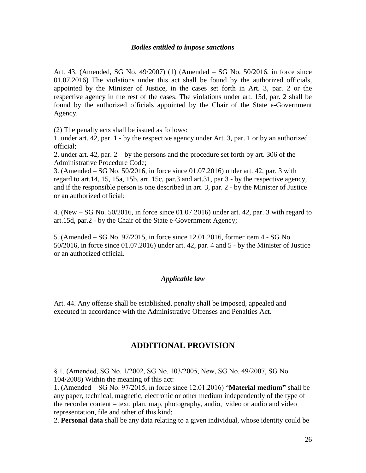### *Bodies entitled to impose sanctions*

Art. 43. (Amended, SG No. 49/2007) (1) (Amended – SG No. 50/2016, in force since 01.07.2016) The violations under this act shall be found by the authorized officials, appointed by the Minister of Justice, in the cases set forth in Art. 3, par. 2 or the respective agency in the rest of the cases. The violations under art. 15d, par. 2 shall be found by the authorized officials appointed by the Chair of the State e-Government Agency.

(2) The penalty acts shall be issued as follows:

1. under art. 42, par. 1 - by the respective agency under Art. 3, par. 1 or by an authorized official;

2. under art. 42, par. 2 – by the persons and the procedure set forth by art. 306 of the Administrative Procedure Code;

3. (Amended – SG No. 50/2016, in force since 01.07.2016) under art. 42, par. 3 with regard to art.14, 15, 15a, 15b, art. 15c, par.3 and art.31, par.3 - by the respective agency, and if the responsible person is one described in art. 3, par. 2 - by the Minister of Justice or an authorized official;

4. (New – SG No. 50/2016, in force since 01.07.2016) under art. 42, par. 3 with regard to art.15d, par.2 - by the Chair of the State e-Government Agency;

5. (Amended – SG No. 97/2015, in force since 12.01.2016, former item 4 - SG No. 50/2016, in force since 01.07.2016) under art. 42, par. 4 and 5 - by the Minister of Justice or an authorized official.

## *Applicable law*

Art. 44. Any offense shall be established, penalty shall be imposed, appealed and executed in accordance with the Administrative Offenses and Penalties Act.

# **ADDITIONAL PROVISION**

§ 1. (Amended, SG No. 1/2002, SG No. 103/2005, New, SG No. 49/2007, SG No. 104/2008) Within the meaning of this act:

1. (Amended – SG No. 97/2015, in force since 12.01.2016) "**Material medium"** shall be any paper, technical, magnetic, electronic or other medium independently of the type of the recorder content – text, plan, map, photography, audio, video or audio and video representation, file and other of this kind;

2. **Personal data** shall be any data relating to a given individual, whose identity could be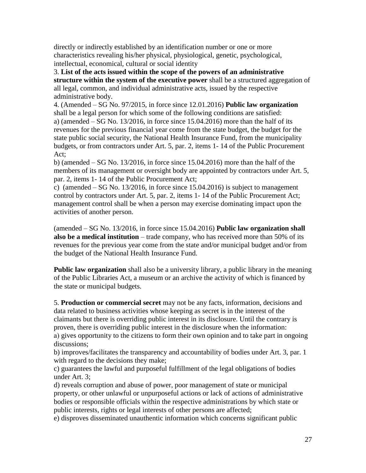directly or indirectly established by an identification number or one or more characteristics revealing his/her physical, physiological, genetic, psychological, intellectual, economical, cultural or social identity

3. **List of the acts issued within the scope of the powers of an administrative structure within the system of the executive power** shall be a structured aggregation of all legal, common, and individual administrative acts, issued by the respective administrative body.

4. (Amended – SG No. 97/2015, in force since 12.01.2016) **Public law organization** shall be a legal person for which some of the following conditions are satisfied: a) (amended  $-$  SG No. 13/2016, in force since 15.04.2016) more than the half of its revenues for the previous financial year come from the state budget, the budget for the state public social security, the National Health Insurance Fund, from the municipality budgets, or from contractors under Art. 5, par. 2, items 1- 14 of the Public Procurement Act;

b) (amended  $-$  SG No. 13/2016, in force since 15.04.2016) more than the half of the members of its management or oversight body are appointed by contractors under Art. 5, par. 2, items 1- 14 of the Public Procurement Act;

c) (amended  $-$  SG No. 13/2016, in force since 15.04.2016) is subject to management control by contractors under Art. 5, par. 2, items 1- 14 of the Public Procurement Act; management control shall be when a person may exercise dominating impact upon the activities of another person.

(amended – SG No. 13/2016, in force since 15.04.2016) **Public law organization shall also be a medical institution** – trade company, who has received more than 50% of its revenues for the previous year come from the state and/or municipal budget and/or from the budget of the National Health Insurance Fund.

**Public law organization** shall also be a university library, a public library in the meaning of the Public Libraries Act, a museum or an archive the activity of which is financed by the state or municipal budgets.

5. **Production or commercial secret** may not be any facts, information, decisions and data related to business activities whose keeping as secret is in the interest of the claimants but there is overriding public interest in its disclosure. Until the contrary is proven, there is overriding public interest in the disclosure when the information: а) gives opportunity to the citizens to form their own opinion and to take part in ongoing discussions;

b) improves/facilitates the transparency and accountability of bodies under Art. 3, par. 1 with regard to the decisions they make;

c) guarantees the lawful and purposeful fulfillment of the legal obligations of bodies under Art. 3;

d) reveals corruption and abuse of power, poor management of state or municipal property, or other unlawful or unpurposeful actions or lack of actions of administrative bodies or responsible officials within the respective administrations by which state or public interests, rights or legal interests of other persons are affected;

e) disproves disseminated unauthentic information which concerns significant public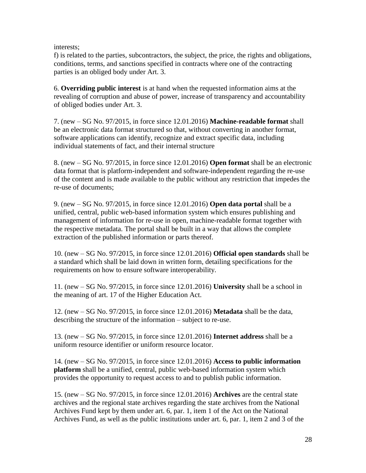interests;

f) is related to the parties, subcontractors, the subject, the price, the rights and obligations, conditions, terms, and sanctions specified in contracts where one of the contracting parties is an obliged body under Art. 3.

6. **Overriding public interest** is at hand when the requested information aims at the revealing of corruption and abuse of power, increase of transparency and accountability of obliged bodies under Art. 3.

7. (new – SG No. 97/2015, in force since 12.01.2016) **Machine-readable format** shall be an electronic data format structured so that, without converting in another format, software applications can identify, recognize and extract specific data, including individual statements of fact, and their internal structure

8. (new – SG No. 97/2015, in force since 12.01.2016) **Open format** shall be an electronic data format that is platform-independent and software-independent regarding the re-use of the content and is made available to the public without any restriction that impedes the re-use of documents;

9. (new – SG No. 97/2015, in force since 12.01.2016) **Open data portal** shall be a unified, central, public web-based information system which ensures publishing and management of information for re-use in open, machine-readable format together with the respective metadata. The portal shall be built in a way that allows the complete extraction of the published information or parts thereof.

10. (new – SG No. 97/2015, in force since 12.01.2016) **Official open standards** shall be a standard which shall be laid down in written form, detailing specifications for the requirements on how to ensure software interoperability.

11. (new – SG No. 97/2015, in force since 12.01.2016) **University** shall be a school in the meaning of art. 17 of the Higher Education Act.

12. (new – SG No. 97/2015, in force since 12.01.2016) **Metadata** shall be the data, describing the structure of the information – subject to re-use.

13. (new – SG No. 97/2015, in force since 12.01.2016) **Internet address** shall be a uniform resource identifier or uniform resource locator.

14. (new – SG No. 97/2015, in force since 12.01.2016) **Access to public information platform** shall be a unified, central, public web-based information system which provides the opportunity to request access to and to publish public information.

15. (new – SG No. 97/2015, in force since 12.01.2016) **Archives** are the central state archives and the regional state archives regarding the state archives from the National Archives Fund kept by them under art. 6, par. 1, item 1 of the Act on the National Archives Fund, as well as the public institutions under art. 6, par. 1, item 2 and 3 of the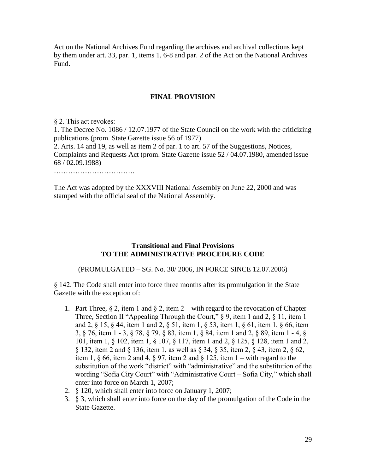Act on the National Archives Fund regarding the archives and archival collections kept by them under art. 33, par. 1, items 1, 6-8 and par. 2 of the Act on the National Archives Fund.

## **FINAL PROVISION**

§ 2. This act revokes: 1. The Decree No. 1086 / 12.07.1977 of the State Council on the work with the criticizing publications (prom. State Gazette issue 56 of 1977) 2. Arts. 14 and 19, as well as item 2 of par. 1 to art. 57 of the Suggestions, Notices, Complaints and Requests Act (prom. State Gazette issue 52 / 04.07.1980, amended issue 68 / 02.09.1988) ………………………………………

The Act was adopted by the XXXVIII National Assembly on June 22, 2000 and was stamped with the official seal of the National Assembly.

## **Transitional and Final Provisions TO THE ADMINISTRATIVE PROCEDURE CODE**

(PROMULGATED – SG. No. 30/ 2006, IN FORCE SINCE 12.07.2006)

§ 142. The Code shall enter into force three months after its promulgation in the State Gazette with the exception of:

- 1. Part Three,  $\S 2$ , item 1 and  $\S 2$ , item 2 with regard to the revocation of Chapter Three, Section II "Appealing Through the Court,"  $\S$  9, item 1 and 2,  $\S$  11, item 1 and 2, § 15, § 44, item 1 and 2, § 51, item 1, § 53, item 1, § 61, item 1, § 66, item 3, § 76, item 1 - 3, § 78, § 79, § 83, item 1, § 84, item 1 and 2, § 89, item 1 - 4, § 101, item 1, § 102, item 1, § 107, § 117, item 1 and 2, § 125, § 128, item 1 and 2, § 132, item 2 and § 136, item 1, as well as § 34, § 35, item 2, § 43, item 2, § 62, item 1,  $\S$  66, item 2 and 4,  $\S$  97, item 2 and  $\S$  125, item 1 – with regard to the substitution of the work "district" with "administrative" and the substitution of the wording "Sofia City Court" with "Administrative Court – Sofia City," which shall enter into force on March 1, 2007;
- 2. § 120, which shall enter into force on January 1, 2007;
- 3. § 3, which shall enter into force on the day of the promulgation of the Code in the State Gazette.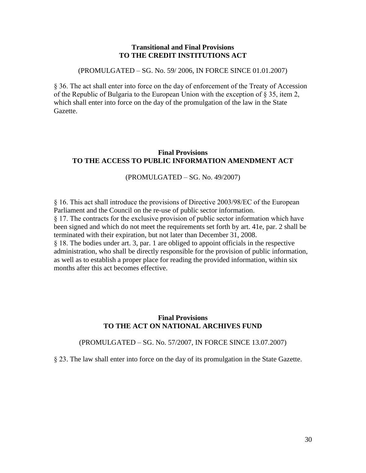### **Transitional and Final Provisions TO THE CREDIT INSTITUTIONS ACT**

(PROMULGATED – SG. No. 59/ 2006, IN FORCE SINCE 01.01.2007)

§ 36. The act shall enter into force on the day of enforcement of the Treaty of Accession of the Republic of Bulgaria to the European Union with the exception of § 35, item 2, which shall enter into force on the day of the promulgation of the law in the State Gazette.

## **Final Provisions TO THE ACCESS TO PUBLIC INFORMATION AMENDMENT ACT**

### (PROMULGATED – SG. No. 49/2007)

§ 16. This act shall introduce the provisions of Directive 2003/98/EC of the European Parliament and the Council on the re-use of public sector information. § 17. The contracts for the exclusive provision of public sector information which have been signed and which do not meet the requirements set forth by art. 41e, par. 2 shall be terminated with their expiration, but not later than December 31, 2008. § 18. The bodies under art. 3, par. 1 are obliged to appoint officials in the respective administration, who shall be directly responsible for the provision of public information, as well as to establish a proper place for reading the provided information, within six months after this act becomes effective.

## **Final Provisions TO THE ACT ON NATIONAL ARCHIVES FUND**

(PROMULGATED – SG. No. 57/2007, IN FORCE SINCE 13.07.2007)

§ 23. The law shall enter into force on the day of its promulgation in the State Gazette.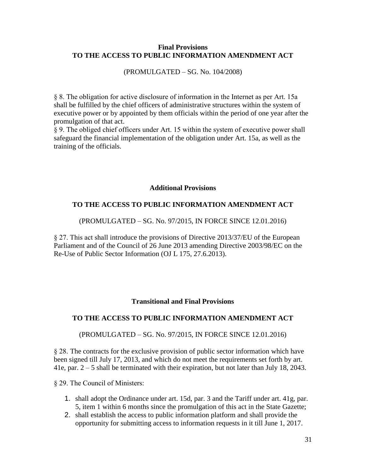## **Final Provisions TO THE ACCESS TO PUBLIC INFORMATION AMENDMENT ACT**

(PROMULGATED – SG. No. 104/2008)

§ 8. The obligation for active disclosure of information in the Internet as per Art. 15a shall be fulfilled by the chief officers of administrative structures within the system of executive power or by appointed by them officials within the period of one year after the promulgation of that act.

§ 9. The obliged chief officers under Art. 15 within the system of executive power shall safeguard the financial implementation of the obligation under Art. 15a, as well as the training of the officials.

## **Additional Provisions**

## **TO THE ACCESS TO PUBLIC INFORMATION AMENDMENT ACT**

## (PROMULGATED – SG. No. 97/2015, IN FORCE SINCE 12.01.2016)

§ 27. This act shall introduce the provisions of Directive 2013/37/EU of the European Parliament and of the Council of 26 June 2013 amending Directive 2003/98/EC on the Re-Use of Public Sector Information (OJ L 175, 27.6.2013).

## **Transitional and Final Provisions**

## **TO THE ACCESS TO PUBLIC INFORMATION AMENDMENT ACT**

## (PROMULGATED – SG. No. 97/2015, IN FORCE SINCE 12.01.2016)

§ 28. The contracts for the exclusive provision of public sector information which have been signed till July 17, 2013, and which do not meet the requirements set forth by art. 41e, par. 2 – 5 shall be terminated with their expiration, but not later than July 18, 2043.

§ 29. The Council of Ministers:

- 1. shall adopt the Ordinance under art. 15d, par. 3 and the Tariff under art. 41g, par. 5, item 1 within 6 months since the promulgation of this act in the State Gazette;
- 2. shall establish the access to public information platform and shall provide the opportunity for submitting access to information requests in it till June 1, 2017.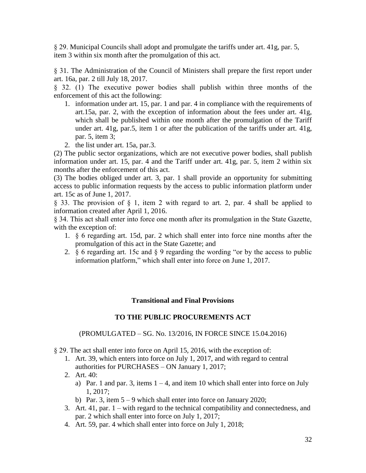§ 29. Municipal Councils shall adopt and promulgate the tariffs under art. 41g, par. 5, item 3 within six month after the promulgation of this act.

§ 31. The Administration of the Council of Ministers shall prepare the first report under art. 16a, par. 2 till July 18, 2017.

§ 32. (1) The executive power bodies shall publish within three months of the enforcement of this act the following:

- 1. information under art. 15, par. 1 and par. 4 in compliance with the requirements of art.15a, par. 2, with the exception of information about the fees under art. 41g, which shall be published within one month after the promulgation of the Tariff under art. 41g, par.5, item 1 or after the publication of the tariffs under art. 41g, par. 5, item 3;
- 2. the list under art. 15a, par.3.

(2) The public sector organizations, which are not executive power bodies, shall publish information under art. 15, par. 4 and the Tariff under art. 41g, par. 5, item 2 within six months after the enforcement of this act.

(3) The bodies obliged under art. 3, par. 1 shall provide an opportunity for submitting access to public information requests by the access to public information platform under art. 15c as of June 1, 2017.

§ 33. The provision of § 1, item 2 with regard to art. 2, par. 4 shall be applied to information created after April 1, 2016.

§ 34. This act shall enter into force one month after its promulgation in the State Gazette, with the exception of:

- 1. § 6 regarding art. 15d, par. 2 which shall enter into force nine months after the promulgation of this act in the State Gazette; and
- 2. § 6 regarding art. 15c and § 9 regarding the wording "or by the access to public information platform," which shall enter into force on June 1, 2017.

## **Transitional and Final Provisions**

## **TO THE PUBLIC PROCUREMENTS ACT**

## (PROMULGATED – SG. No. 13/2016, IN FORCE SINCE 15.04.2016)

§ 29. The act shall enter into force on April 15, 2016, with the exception of:

- 1. Art. 39, which enters into force on July 1, 2017, and with regard to central authorities for PURCHASES – ON January 1, 2017;
- 2. Art. 40:
	- a) Par. 1 and par. 3, items  $1 4$ , and item 10 which shall enter into force on July 1, 2017;
	- b) Par. 3, item  $5 9$  which shall enter into force on January 2020;
- 3. Art. 41, par. 1 with regard to the technical compatibility and connectedness, and par. 2 which shall enter into force on July 1, 2017;
- 4. Art. 59, par. 4 which shall enter into force on July 1, 2018;